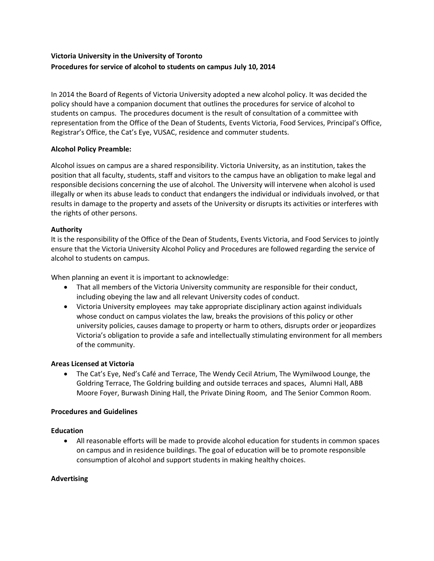# **Victoria University in the University of Toronto Procedures for service of alcohol to students on campus July 10, 2014**

In 2014 the Board of Regents of Victoria University adopted a new alcohol policy. It was decided the policy should have a companion document that outlines the procedures for service of alcohol to students on campus. The procedures document is the result of consultation of a committee with representation from the Office of the Dean of Students, Events Victoria, Food Services, Principal's Office, Registrar's Office, the Cat's Eye, VUSAC, residence and commuter students.

### **Alcohol Policy Preamble:**

Alcohol issues on campus are a shared responsibility. Victoria University, as an institution, takes the position that all faculty, students, staff and visitors to the campus have an obligation to make legal and responsible decisions concerning the use of alcohol. The University will intervene when alcohol is used illegally or when its abuse leads to conduct that endangers the individual or individuals involved, or that results in damage to the property and assets of the University or disrupts its activities or interferes with the rights of other persons.

### **Authority**

It is the responsibility of the Office of the Dean of Students, Events Victoria, and Food Services to jointly ensure that the Victoria University Alcohol Policy and Procedures are followed regarding the service of alcohol to students on campus.

When planning an event it is important to acknowledge:

- That all members of the Victoria University community are responsible for their conduct, including obeying the law and all relevant University codes of conduct.
- Victoria University employees may take appropriate disciplinary action against individuals whose conduct on campus violates the law, breaks the provisions of this policy or other university policies, causes damage to property or harm to others, disrupts order or jeopardizes Victoria's obligation to provide a safe and intellectually stimulating environment for all members of the community.

### **Areas Licensed at Victoria**

• The Cat's Eye, Ned's Café and Terrace, The Wendy Cecil Atrium, The Wymilwood Lounge, the Goldring Terrace, The Goldring building and outside terraces and spaces, Alumni Hall, ABB Moore Foyer, Burwash Dining Hall, the Private Dining Room, and The Senior Common Room.

### **Procedures and Guidelines**

### **Education**

• All reasonable efforts will be made to provide alcohol education for students in common spaces on campus and in residence buildings. The goal of education will be to promote responsible consumption of alcohol and support students in making healthy choices.

### **Advertising**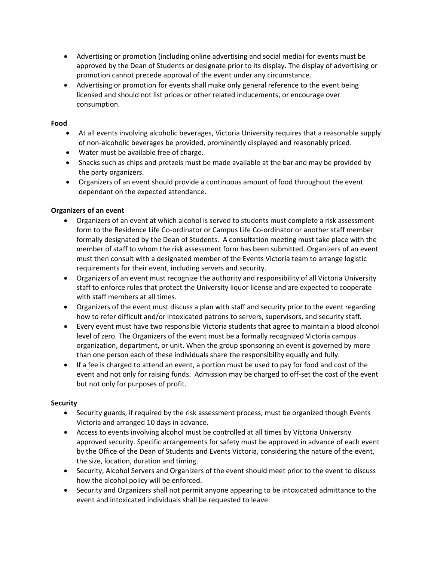- Advertising or promotion (including online advertising and social media) for events must be approved by the Dean of Students or designate prior to its display. The display of advertising or promotion cannot precede approval of the event under any circumstance.
- Advertising or promotion for events shall make only general reference to the event being licensed and should not list prices or other related inducements, or encourage over consumption.

### **Food**

- At all events involving alcoholic beverages, Victoria University requires that a reasonable supply of non-alcoholic beverages be provided, prominently displayed and reasonably priced.
- Water must be available free of charge.
- Snacks such as chips and pretzels must be made available at the bar and may be provided by the party organizers.
- Organizers of an event should provide a continuous amount of food throughout the event dependant on the expected attendance.

### **Organizers of an event**

- Organizers of an event at which alcohol is served to students must complete a risk assessment form to the Residence Life Co-ordinator or Campus Life Co-ordinator or another staff member formally designated by the Dean of Students. A consultation meeting must take place with the member of staff to whom the risk assessment form has been submitted. Organizers of an event must then consult with a designated member of the Events Victoria team to arrange logistic requirements for their event, including servers and security.
- Organizers of an event must recognize the authority and responsibility of all Victoria University staff to enforce rules that protect the University liquor license and are expected to cooperate with staff members at all times.
- Organizers of the event must discuss a plan with staff and security prior to the event regarding how to refer difficult and/or intoxicated patrons to servers, supervisors, and security staff.
- Every event must have two responsible Victoria students that agree to maintain a blood alcohol level of zero. The Organizers of the event must be a formally recognized Victoria campus organization, department, or unit. When the group sponsoring an event is governed by more than one person each of these individuals share the responsibility equally and fully.
- If a fee is charged to attend an event, a portion must be used to pay for food and cost of the event and not only for raising funds. Admission may be charged to off-set the cost of the event but not only for purposes of profit.

### **Security**

- Security guards, if required by the risk assessment process, must be organized though Events Victoria and arranged 10 days in advance.
- Access to events involving alcohol must be controlled at all times by Victoria University approved security. Specific arrangements for safety must be approved in advance of each event by the Office of the Dean of Students and Events Victoria, considering the nature of the event, the size, location, duration and timing.
- Security, Alcohol Servers and Organizers of the event should meet prior to the event to discuss how the alcohol policy will be enforced.
- Security and Organizers shall not permit anyone appearing to be intoxicated admittance to the event and intoxicated individuals shall be requested to leave.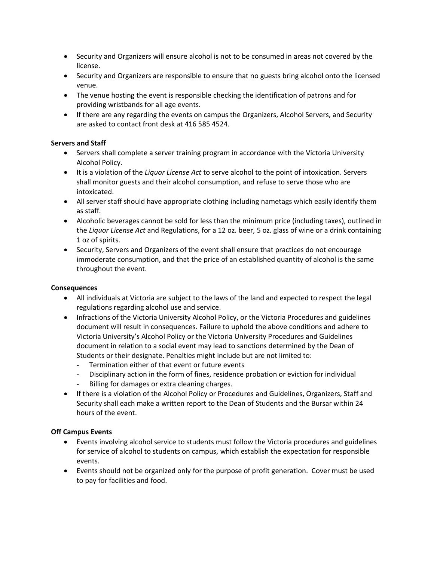- Security and Organizers will ensure alcohol is not to be consumed in areas not covered by the license.
- Security and Organizers are responsible to ensure that no guests bring alcohol onto the licensed venue.
- The venue hosting the event is responsible checking the identification of patrons and for providing wristbands for all age events.
- If there are any regarding the events on campus the Organizers, Alcohol Servers, and Security are asked to contact front desk at 416 585 4524.

### **Servers and Staff**

- Servers shall complete a server training program in accordance with the Victoria University Alcohol Policy.
- It is a violation of the *Liquor License Act* to serve alcohol to the point of intoxication. Servers shall monitor guests and their alcohol consumption, and refuse to serve those who are intoxicated.
- All server staff should have appropriate clothing including nametags which easily identify them as staff.
- Alcoholic beverages cannot be sold for less than the minimum price (including taxes), outlined in the *Liquor License Act* and Regulations, for a 12 oz. beer, 5 oz. glass of wine or a drink containing 1 oz of spirits.
- Security, Servers and Organizers of the event shall ensure that practices do not encourage immoderate consumption, and that the price of an established quantity of alcohol is the same throughout the event.

## **Consequences**

- All individuals at Victoria are subject to the laws of the land and expected to respect the legal regulations regarding alcohol use and service.
- Infractions of the Victoria University Alcohol Policy, or the Victoria Procedures and guidelines document will result in consequences. Failure to uphold the above conditions and adhere to Victoria University's Alcohol Policy or the Victoria University Procedures and Guidelines document in relation to a social event may lead to sanctions determined by the Dean of Students or their designate. Penalties might include but are not limited to:
	- Termination either of that event or future events
	- Disciplinary action in the form of fines, residence probation or eviction for individual
	- Billing for damages or extra cleaning charges.
- If there is a violation of the Alcohol Policy or Procedures and Guidelines, Organizers, Staff and Security shall each make a written report to the Dean of Students and the Bursar within 24 hours of the event.

### **Off Campus Events**

- Events involving alcohol service to students must follow the Victoria procedures and guidelines for service of alcohol to students on campus, which establish the expectation for responsible events.
- Events should not be organized only for the purpose of profit generation. Cover must be used to pay for facilities and food.